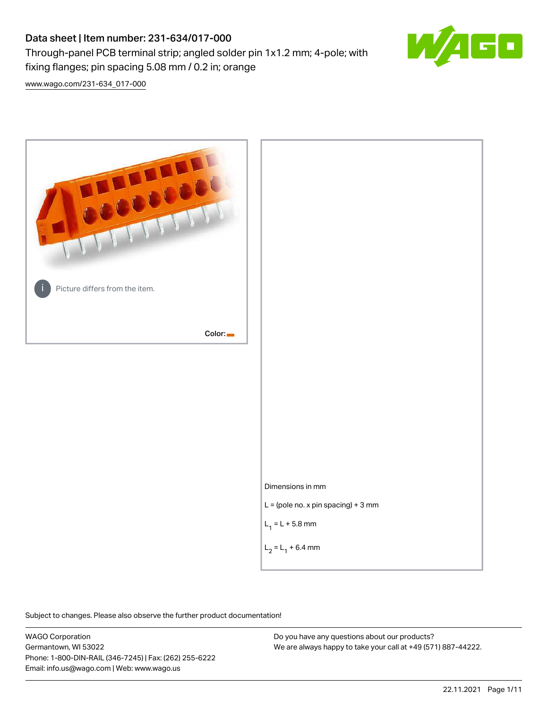# Data sheet | Item number: 231-634/017-000

fixing flanges; pin spacing 5.08 mm / 0.2 in; orange

Through-panel PCB terminal strip; angled solder pin 1x1.2 mm; 4-pole; with



[www.wago.com/231-634\\_017-000](http://www.wago.com/231-634_017-000)



Subject to changes. Please also observe the further product documentation!

WAGO Corporation Germantown, WI 53022 Phone: 1-800-DIN-RAIL (346-7245) | Fax: (262) 255-6222 Email: info.us@wago.com | Web: www.wago.us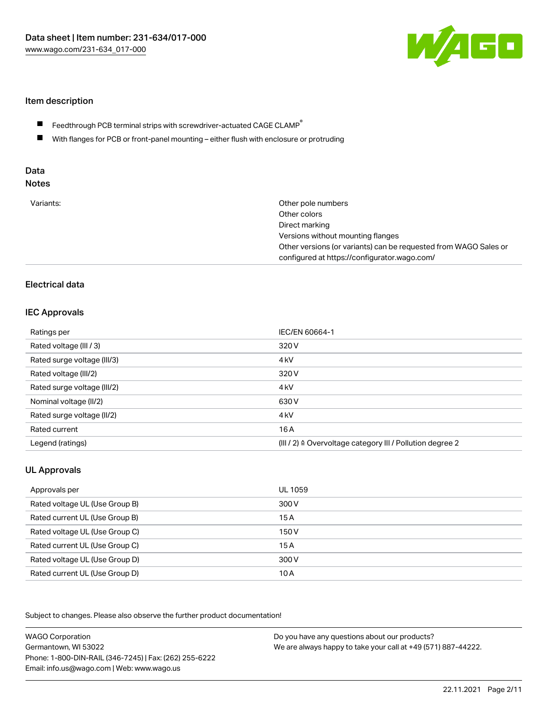

## Item description

- Feedthrough PCB terminal strips with screwdriver-actuated CAGE CLAMP $^\circ$  $\blacksquare$
- $\blacksquare$ With flanges for PCB or front-panel mounting – either flush with enclosure or protruding

# Data

| Variants: | Other pole numbers<br>Other colors<br>Direct marking<br>Versions without mounting flanges<br>Other versions (or variants) can be requested from WAGO Sales or<br>configured at https://configurator.wago.com/ |
|-----------|---------------------------------------------------------------------------------------------------------------------------------------------------------------------------------------------------------------|
|           |                                                                                                                                                                                                               |

## Electrical data

## IEC Approvals

| Ratings per                 | IEC/EN 60664-1                                                        |
|-----------------------------|-----------------------------------------------------------------------|
| Rated voltage (III / 3)     | 320 V                                                                 |
| Rated surge voltage (III/3) | 4 <sub>kV</sub>                                                       |
| Rated voltage (III/2)       | 320 V                                                                 |
| Rated surge voltage (III/2) | 4 <sub>kV</sub>                                                       |
| Nominal voltage (II/2)      | 630 V                                                                 |
| Rated surge voltage (II/2)  | 4 <sub>k</sub> V                                                      |
| Rated current               | 16A                                                                   |
| Legend (ratings)            | $(III / 2)$ $\triangle$ Overvoltage category III / Pollution degree 2 |

## UL Approvals

| Approvals per                  | UL 1059 |
|--------------------------------|---------|
| Rated voltage UL (Use Group B) | 300 V   |
| Rated current UL (Use Group B) | 15 A    |
| Rated voltage UL (Use Group C) | 150 V   |
| Rated current UL (Use Group C) | 15A     |
| Rated voltage UL (Use Group D) | 300 V   |
| Rated current UL (Use Group D) | 10 A    |

Subject to changes. Please also observe the further product documentation!

| <b>WAGO Corporation</b>                                | Do you have any questions about our products?                 |
|--------------------------------------------------------|---------------------------------------------------------------|
| Germantown, WI 53022                                   | We are always happy to take your call at +49 (571) 887-44222. |
| Phone: 1-800-DIN-RAIL (346-7245)   Fax: (262) 255-6222 |                                                               |
| Email: info.us@wago.com   Web: www.wago.us             |                                                               |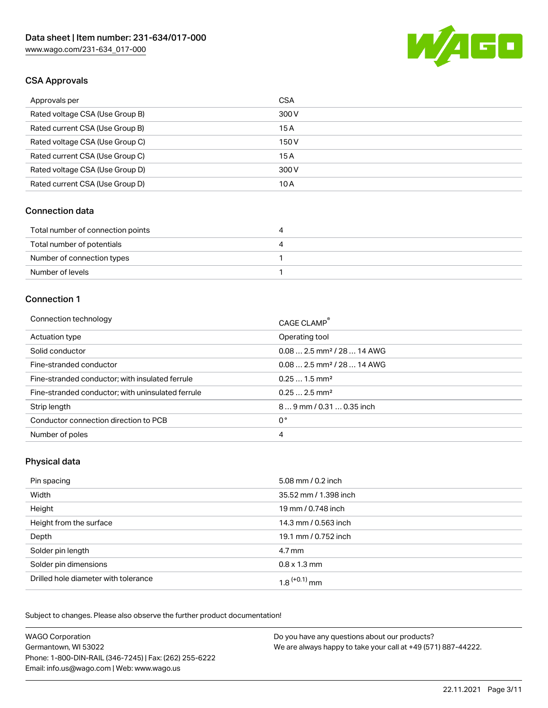

## CSA Approvals

| Approvals per                   | <b>CSA</b> |
|---------------------------------|------------|
| Rated voltage CSA (Use Group B) | 300 V      |
| Rated current CSA (Use Group B) | 15 A       |
| Rated voltage CSA (Use Group C) | 150 V      |
| Rated current CSA (Use Group C) | 15 A       |
| Rated voltage CSA (Use Group D) | 300 V      |
| Rated current CSA (Use Group D) | 10 A       |

#### Connection data

| Total number of connection points | 21 |
|-----------------------------------|----|
| Total number of potentials        | ப  |
| Number of connection types        |    |
| Number of levels                  |    |

#### Connection 1

| Connection technology                             | CAGE CLAMP <sup>®</sup>                 |
|---------------------------------------------------|-----------------------------------------|
| Actuation type                                    | Operating tool                          |
| Solid conductor                                   | $0.082.5$ mm <sup>2</sup> / 28  14 AWG  |
| Fine-stranded conductor                           | $0.08$ 2.5 mm <sup>2</sup> / 28  14 AWG |
| Fine-stranded conductor; with insulated ferrule   | $0.251.5$ mm <sup>2</sup>               |
| Fine-stranded conductor; with uninsulated ferrule | $0.252.5$ mm <sup>2</sup>               |
| Strip length                                      | $89$ mm / 0.31  0.35 inch               |
| Conductor connection direction to PCB             | 0°                                      |
| Number of poles                                   | 4                                       |
|                                                   |                                         |

## Physical data

| Pin spacing                          | 5.08 mm / 0.2 inch         |
|--------------------------------------|----------------------------|
| Width                                | 35.52 mm / 1.398 inch      |
| Height                               | 19 mm / 0.748 inch         |
| Height from the surface              | 14.3 mm / 0.563 inch       |
| Depth                                | 19.1 mm / 0.752 inch       |
| Solder pin length                    | 4.7 mm                     |
| Solder pin dimensions                | $0.8 \times 1.3$ mm        |
| Drilled hole diameter with tolerance | $1.8$ <sup>(+0.1)</sup> mm |

Subject to changes. Please also observe the further product documentation! Mechanical data

| <b>WAGO Corporation</b>                                | Do you have any questions about our products?                 |
|--------------------------------------------------------|---------------------------------------------------------------|
| Germantown, WI 53022                                   | We are always happy to take your call at +49 (571) 887-44222. |
| Phone: 1-800-DIN-RAIL (346-7245)   Fax: (262) 255-6222 |                                                               |
| Email: info.us@wago.com   Web: www.wago.us             |                                                               |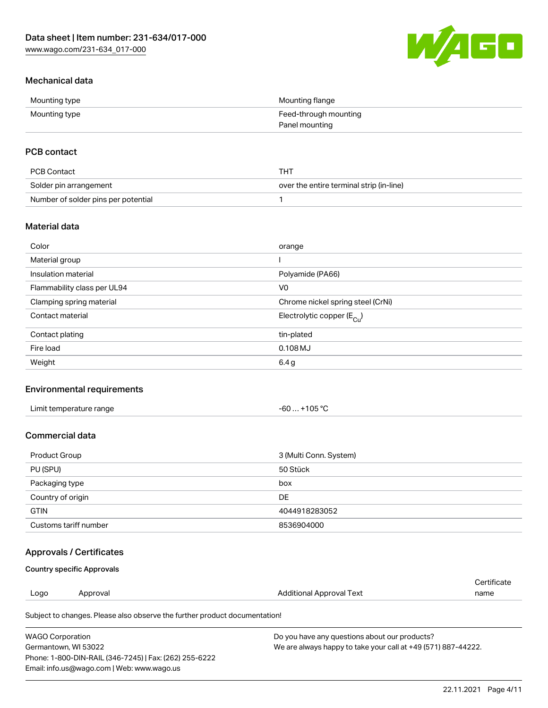

## Mechanical data

| Mounting type | Mounting flange       |
|---------------|-----------------------|
| Mounting type | Feed-through mounting |
|               | Panel mounting        |

## PCB contact

| PCB Contact                         | THT                                      |
|-------------------------------------|------------------------------------------|
| Solder pin arrangement              | over the entire terminal strip (in-line) |
| Number of solder pins per potential |                                          |

## Material data

| Color                       | orange                                |
|-----------------------------|---------------------------------------|
| Material group              |                                       |
| Insulation material         | Polyamide (PA66)                      |
| Flammability class per UL94 | V <sub>0</sub>                        |
| Clamping spring material    | Chrome nickel spring steel (CrNi)     |
| Contact material            | Electrolytic copper $(E_{\text{Cl}})$ |
| Contact plating             | tin-plated                            |
| Fire load                   | $0.108$ MJ                            |
| Weight                      | 6.4 g                                 |

## Environmental requirements

| Limit temperature range<br>. | . +105 ℃<br>$-60$ |  |
|------------------------------|-------------------|--|
|------------------------------|-------------------|--|

## Commercial data

| Product Group         | 3 (Multi Conn. System) |
|-----------------------|------------------------|
| PU (SPU)              | 50 Stück               |
| Packaging type        | box                    |
| Country of origin     | DE                     |
| <b>GTIN</b>           | 4044918283052          |
| Customs tariff number | 8536904000             |

## Approvals / Certificates

#### Country specific Approvals

|      |          |                                                                            | Certificate |
|------|----------|----------------------------------------------------------------------------|-------------|
| Logo | Approval | Additional Approval Text                                                   | name        |
|      |          | Subject to changes. Please also observe the further product documentation! |             |

| WAGO Corporation                                       | Do you have any questions about our products?                 |
|--------------------------------------------------------|---------------------------------------------------------------|
| Germantown. WI 53022                                   | We are always happy to take your call at +49 (571) 887-44222. |
| Phone: 1-800-DIN-RAIL (346-7245)   Fax: (262) 255-6222 |                                                               |
| Email: info.us@wago.com   Web: www.wago.us             |                                                               |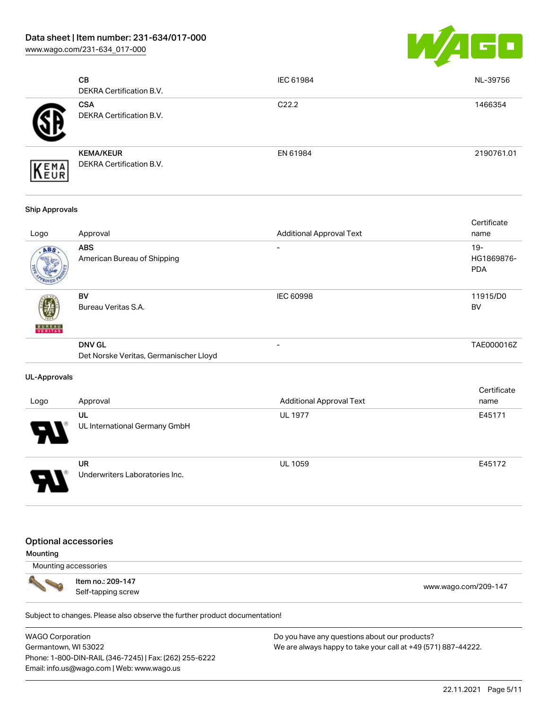[www.wago.com/231-634\\_017-000](http://www.wago.com/231-634_017-000)



| <b>CB</b><br>DEKRA Certification B.V.         | IEC 61984         | NL-39756   |
|-----------------------------------------------|-------------------|------------|
| <b>CSA</b><br><b>DEKRA Certification B.V.</b> | C <sub>22.2</sub> | 1466354    |
| <b>KEMA/KEUR</b><br>DEKRA Certification B.V.  | EN 61984          | 2190761.01 |

#### Ship Approvals

| Logo          | Approval                                                | <b>Additional Approval Text</b> | Certificate<br>name                |
|---------------|---------------------------------------------------------|---------------------------------|------------------------------------|
| ABS           | <b>ABS</b><br>American Bureau of Shipping               |                                 | $19 -$<br>HG1869876-<br><b>PDA</b> |
| <b>BUREAU</b> | BV<br>Bureau Veritas S.A.                               | <b>IEC 60998</b>                | 11915/D0<br><b>BV</b>              |
|               | <b>DNV GL</b><br>Det Norske Veritas, Germanischer Lloyd | -                               | TAE000016Z                         |

#### UL-Approvals

| Logo | Approval                             | <b>Additional Approval Text</b> | Certificate<br>name |
|------|--------------------------------------|---------------------------------|---------------------|
| 8    | UL<br>UL International Germany GmbH  | <b>UL 1977</b>                  | E45171              |
| J    | UR<br>Underwriters Laboratories Inc. | <b>UL 1059</b>                  | E45172              |

#### Optional accessories

Mounting

Mounting accessories



Item no.: 209-147 nem no.: 209-147<br>Self-tapping screw [www.wago.com/209-147](http://www.wago.com/209-147)

Subject to changes. Please also observe the further product documentation!

WAGO Corporation Germantown, WI 53022 Phone: 1-800-DIN-RAIL (346-7245) | Fax: (262) 255-6222 Email: info.us@wago.com | Web: www.wago.us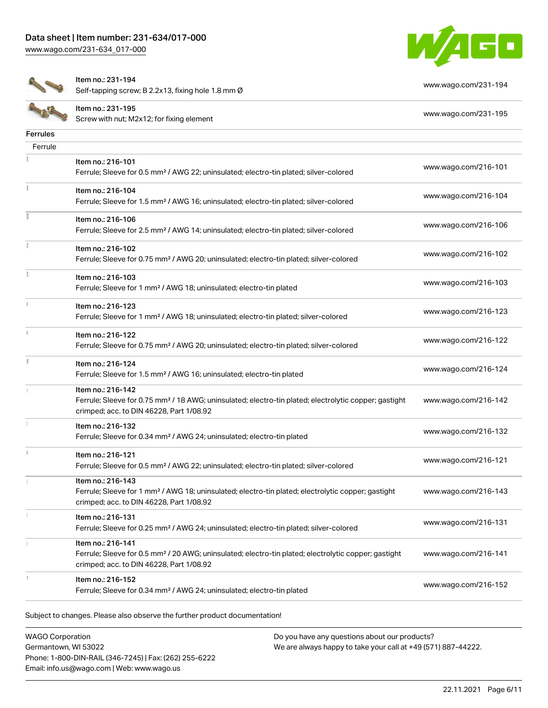[www.wago.com/231-634\\_017-000](http://www.wago.com/231-634_017-000)





Item no.: 231-194

Nettrition: 231-134<br>Self-tapping screw; B 2.2x13, fixing hole 1.8 mm Ø [www.wago.com/231-194](http://www.wago.com/231-194)

|                 | Item no.: 231-195<br>Screw with nut; M2x12; for fixing element                                                                                                                     | www.wago.com/231-195 |
|-----------------|------------------------------------------------------------------------------------------------------------------------------------------------------------------------------------|----------------------|
| <b>Ferrules</b> |                                                                                                                                                                                    |                      |
| Ferrule         |                                                                                                                                                                                    |                      |
|                 | Item no.: 216-101<br>Ferrule; Sleeve for 0.5 mm <sup>2</sup> / AWG 22; uninsulated; electro-tin plated; silver-colored                                                             | www.wago.com/216-101 |
|                 | Item no.: 216-104<br>Ferrule; Sleeve for 1.5 mm <sup>2</sup> / AWG 16; uninsulated; electro-tin plated; silver-colored                                                             | www.wago.com/216-104 |
|                 | Item no.: 216-106<br>Ferrule; Sleeve for 2.5 mm <sup>2</sup> / AWG 14; uninsulated; electro-tin plated; silver-colored                                                             | www.wago.com/216-106 |
|                 | Item no.: 216-102<br>Ferrule; Sleeve for 0.75 mm <sup>2</sup> / AWG 20; uninsulated; electro-tin plated; silver-colored                                                            | www.wago.com/216-102 |
|                 | Item no.: 216-103<br>Ferrule; Sleeve for 1 mm <sup>2</sup> / AWG 18; uninsulated; electro-tin plated                                                                               | www.wago.com/216-103 |
|                 | Item no.: 216-123<br>Ferrule; Sleeve for 1 mm <sup>2</sup> / AWG 18; uninsulated; electro-tin plated; silver-colored                                                               | www.wago.com/216-123 |
| i.              | Item no.: 216-122<br>Ferrule; Sleeve for 0.75 mm <sup>2</sup> / AWG 20; uninsulated; electro-tin plated; silver-colored                                                            | www.wago.com/216-122 |
| I.              | Item no.: 216-124<br>Ferrule; Sleeve for 1.5 mm <sup>2</sup> / AWG 16; uninsulated; electro-tin plated                                                                             | www.wago.com/216-124 |
|                 | Item no.: 216-142<br>Ferrule; Sleeve for 0.75 mm <sup>2</sup> / 18 AWG; uninsulated; electro-tin plated; electrolytic copper; gastight<br>crimped; acc. to DIN 46228, Part 1/08.92 | www.wago.com/216-142 |
|                 | Item no.: 216-132<br>Ferrule; Sleeve for 0.34 mm <sup>2</sup> / AWG 24; uninsulated; electro-tin plated                                                                            | www.wago.com/216-132 |
|                 | Item no.: 216-121<br>Ferrule; Sleeve for 0.5 mm <sup>2</sup> / AWG 22; uninsulated; electro-tin plated; silver-colored                                                             | www.wago.com/216-121 |
|                 | Item no.: 216-143<br>Ferrule; Sleeve for 1 mm <sup>2</sup> / AWG 18; uninsulated; electro-tin plated; electrolytic copper; gastight<br>crimped; acc. to DIN 46228, Part 1/08.92    | www.wago.com/216-143 |
| I.              | ltem no.: 216-131<br>Ferrule; Sleeve for 0.25 mm <sup>2</sup> / AWG 24; uninsulated; electro-tin plated; silver-colored                                                            | www.wago.com/216-131 |
|                 | Item no.: 216-141<br>Ferrule; Sleeve for 0.5 mm <sup>2</sup> / 20 AWG; uninsulated; electro-tin plated; electrolytic copper; gastight<br>crimped; acc. to DIN 46228, Part 1/08.92  | www.wago.com/216-141 |
|                 | Item no.: 216-152<br>Ferrule; Sleeve for 0.34 mm <sup>2</sup> / AWG 24; uninsulated; electro-tin plated                                                                            | www.wago.com/216-152 |

Subject to changes. Please also observe the further product documentation!

WAGO Corporation Germantown, WI 53022 Phone: 1-800-DIN-RAIL (346-7245) | Fax: (262) 255-6222 Email: info.us@wago.com | Web: www.wago.us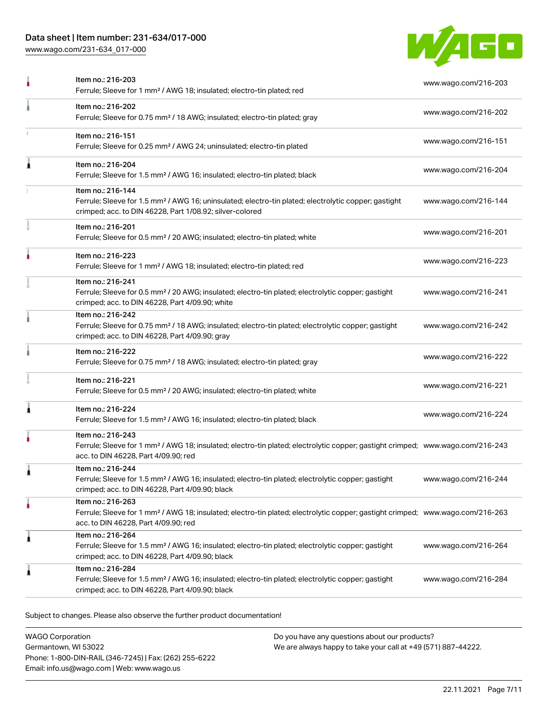## Data sheet | Item number: 231-634/017-000

[www.wago.com/231-634\\_017-000](http://www.wago.com/231-634_017-000)



|   | Item no.: 216-203<br>Ferrule; Sleeve for 1 mm <sup>2</sup> / AWG 18; insulated; electro-tin plated; red                                                                                                 | www.wago.com/216-203 |
|---|---------------------------------------------------------------------------------------------------------------------------------------------------------------------------------------------------------|----------------------|
|   | Item no.: 216-202<br>Ferrule; Sleeve for 0.75 mm <sup>2</sup> / 18 AWG; insulated; electro-tin plated; gray                                                                                             | www.wago.com/216-202 |
|   | Item no.: 216-151<br>Ferrule; Sleeve for 0.25 mm <sup>2</sup> / AWG 24; uninsulated; electro-tin plated                                                                                                 | www.wago.com/216-151 |
| 1 | Item no.: 216-204<br>Ferrule; Sleeve for 1.5 mm <sup>2</sup> / AWG 16; insulated; electro-tin plated; black                                                                                             | www.wago.com/216-204 |
|   | Item no.: 216-144<br>Ferrule; Sleeve for 1.5 mm <sup>2</sup> / AWG 16; uninsulated; electro-tin plated; electrolytic copper; gastight<br>crimped; acc. to DIN 46228, Part 1/08.92; silver-colored       | www.wago.com/216-144 |
|   | Item no.: 216-201<br>Ferrule; Sleeve for 0.5 mm <sup>2</sup> / 20 AWG; insulated; electro-tin plated; white                                                                                             | www.wago.com/216-201 |
|   | Item no.: 216-223<br>Ferrule; Sleeve for 1 mm <sup>2</sup> / AWG 18; insulated; electro-tin plated; red                                                                                                 | www.wago.com/216-223 |
|   | Item no.: 216-241<br>Ferrule; Sleeve for 0.5 mm <sup>2</sup> / 20 AWG; insulated; electro-tin plated; electrolytic copper; gastight<br>crimped; acc. to DIN 46228, Part 4/09.90; white                  | www.wago.com/216-241 |
|   | Item no.: 216-242<br>Ferrule; Sleeve for 0.75 mm <sup>2</sup> / 18 AWG; insulated; electro-tin plated; electrolytic copper; gastight<br>crimped; acc. to DIN 46228, Part 4/09.90; gray                  | www.wago.com/216-242 |
|   | Item no.: 216-222<br>Ferrule; Sleeve for 0.75 mm <sup>2</sup> / 18 AWG; insulated; electro-tin plated; gray                                                                                             | www.wago.com/216-222 |
|   | Item no.: 216-221<br>Ferrule; Sleeve for 0.5 mm <sup>2</sup> / 20 AWG; insulated; electro-tin plated; white                                                                                             | www.wago.com/216-221 |
| 1 | Item no.: 216-224<br>Ferrule; Sleeve for 1.5 mm <sup>2</sup> / AWG 16; insulated; electro-tin plated; black                                                                                             | www.wago.com/216-224 |
|   | Item no.: 216-243<br>Ferrule; Sleeve for 1 mm <sup>2</sup> / AWG 18; insulated; electro-tin plated; electrolytic copper; gastight crimped; www.wago.com/216-243<br>acc. to DIN 46228, Part 4/09.90; red |                      |
|   | Item no.: 216-244<br>Ferrule; Sleeve for 1.5 mm <sup>2</sup> / AWG 16; insulated; electro-tin plated; electrolytic copper; gastight<br>crimped; acc. to DIN 46228, Part 4/09.90; black                  | www.wago.com/216-244 |
| ٠ | Item no.: 216-263<br>Ferrule; Sleeve for 1 mm <sup>2</sup> / AWG 18; insulated; electro-tin plated; electrolytic copper; gastight crimped; www.wago.com/216-263<br>acc. to DIN 46228, Part 4/09.90; red |                      |
| 1 | Item no.: 216-264<br>Ferrule; Sleeve for 1.5 mm <sup>2</sup> / AWG 16; insulated; electro-tin plated; electrolytic copper; gastight<br>crimped; acc. to DIN 46228, Part 4/09.90; black                  | www.wago.com/216-264 |
|   | Item no.: 216-284<br>Ferrule; Sleeve for 1.5 mm <sup>2</sup> / AWG 16; insulated; electro-tin plated; electrolytic copper; gastight<br>crimped; acc. to DIN 46228, Part 4/09.90; black                  | www.wago.com/216-284 |
|   |                                                                                                                                                                                                         |                      |

Subject to changes. Please also observe the further product documentation!

WAGO Corporation Germantown, WI 53022 Phone: 1-800-DIN-RAIL (346-7245) | Fax: (262) 255-6222 Email: info.us@wago.com | Web: www.wago.us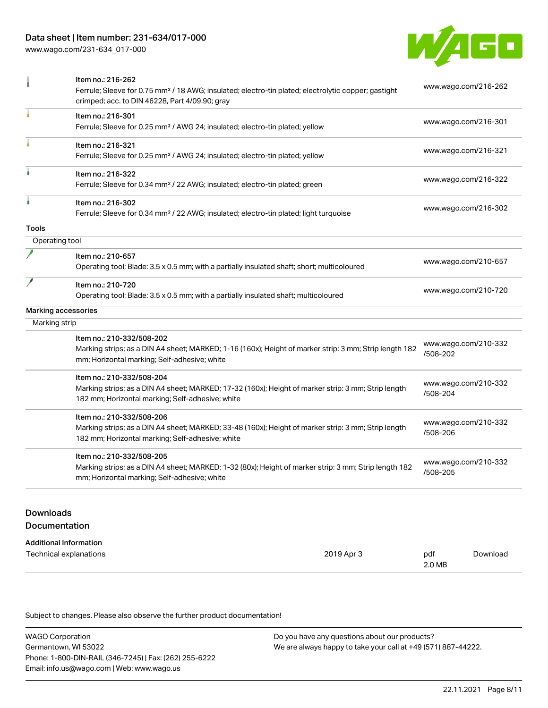## Data sheet | Item number: 231-634/017-000

[www.wago.com/231-634\\_017-000](http://www.wago.com/231-634_017-000)



|                | Item no.: 216-262<br>Ferrule; Sleeve for 0.75 mm <sup>2</sup> / 18 AWG; insulated; electro-tin plated; electrolytic copper; gastight<br>crimped; acc. to DIN 46228, Part 4/09.90; gray | www.wago.com/216-262             |
|----------------|----------------------------------------------------------------------------------------------------------------------------------------------------------------------------------------|----------------------------------|
|                | Item no.: 216-301<br>Ferrule; Sleeve for 0.25 mm <sup>2</sup> / AWG 24; insulated; electro-tin plated; yellow                                                                          | www.wago.com/216-301             |
|                | Item no.: 216-321<br>Ferrule; Sleeve for 0.25 mm <sup>2</sup> / AWG 24; insulated; electro-tin plated; yellow                                                                          | www.wago.com/216-321             |
|                | Item no.: 216-322<br>Ferrule; Sleeve for 0.34 mm <sup>2</sup> / 22 AWG; insulated; electro-tin plated; green                                                                           | www.wago.com/216-322             |
|                | Item no.: 216-302<br>Ferrule; Sleeve for 0.34 mm <sup>2</sup> / 22 AWG; insulated; electro-tin plated; light turquoise                                                                 | www.wago.com/216-302             |
| <b>Tools</b>   |                                                                                                                                                                                        |                                  |
| Operating tool |                                                                                                                                                                                        |                                  |
|                | Item no.: 210-657<br>Operating tool; Blade: 3.5 x 0.5 mm; with a partially insulated shaft; short; multicoloured                                                                       | www.wago.com/210-657             |
|                | Item no.: 210-720<br>Operating tool; Blade: 3.5 x 0.5 mm; with a partially insulated shaft; multicoloured                                                                              | www.wago.com/210-720             |
|                | Marking accessories                                                                                                                                                                    |                                  |
| Marking strip  |                                                                                                                                                                                        |                                  |
|                | Item no.: 210-332/508-202<br>Marking strips; as a DIN A4 sheet; MARKED; 1-16 (160x); Height of marker strip: 3 mm; Strip length 182<br>mm; Horizontal marking; Self-adhesive; white    | www.wago.com/210-332<br>/508-202 |
|                | Item no.: 210-332/508-204<br>Marking strips; as a DIN A4 sheet; MARKED; 17-32 (160x); Height of marker strip: 3 mm; Strip length<br>182 mm; Horizontal marking; Self-adhesive; white   | www.wago.com/210-332<br>/508-204 |
|                | Item no.: 210-332/508-206<br>Marking strips; as a DIN A4 sheet; MARKED; 33-48 (160x); Height of marker strip: 3 mm; Strip length<br>182 mm; Horizontal marking; Self-adhesive; white   | www.wago.com/210-332<br>/508-206 |
|                | Item no.: 210-332/508-205<br>Marking strips; as a DIN A4 sheet; MARKED; 1-32 (80x); Height of marker strip: 3 mm; Strip length 182<br>mm; Horizontal marking; Self-adhesive; white     | www.wago.com/210-332<br>/508-205 |

# Downloads Documentation

# Additional Information

| Technical explanations | 2019 Apr 3 | pdf    | Download |
|------------------------|------------|--------|----------|
|                        |            | 2.0 MB |          |

Subject to changes. Please also observe the further product documentation!

| <b>WAGO Corporation</b>                                | Do you have any questions about our products?                 |
|--------------------------------------------------------|---------------------------------------------------------------|
| Germantown, WI 53022                                   | We are always happy to take your call at +49 (571) 887-44222. |
| Phone: 1-800-DIN-RAIL (346-7245)   Fax: (262) 255-6222 |                                                               |
| Email: info.us@wago.com   Web: www.wago.us             |                                                               |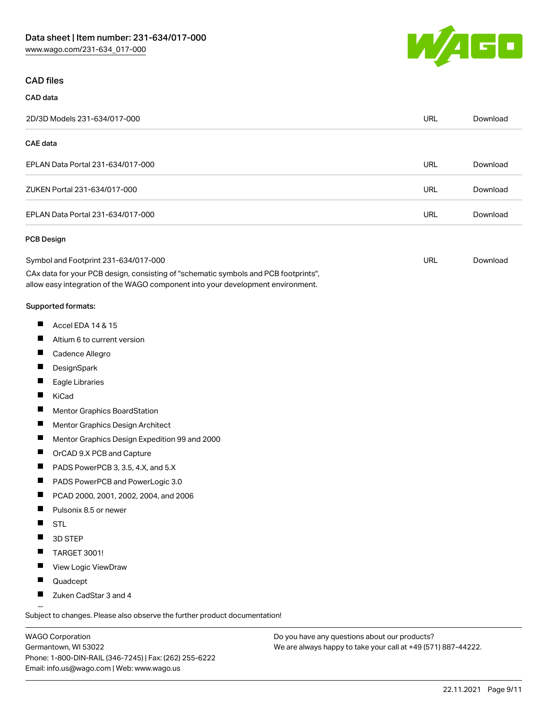

### CAD files

### CAD data 2D/3D Models 231-634/017-000 URL [Download](https://www.wago.com/global/d/3D_URLS_231-634_017-000) CAE data EPLAN Data Portal 231-634/017-000 URL [Download](https://www.wago.com/global/d/EPLAN_URLS_231-634%252F017-000) ZUKEN Portal 231-634/017-000 URL [Download](https://www.wago.com/global/d/Zuken_URLS_231-634_017-000) EPLAN Data Portal 231-634/017-000 URL [Download](https://www.wago.com/global/d/EPLAN_URLS_231-634_017-000) PCB Design Symbol and Footprint 231-634/017-000 URL [Download](https://www.wago.com/global/d/UltraLibrarian_URLS_231-634_017-000)CAx data for your PCB design, consisting of "schematic symbols and PCB footprints", allow easy integration of the WAGO component into your development environment. Supported formats:  $\blacksquare$ Accel EDA 14 & 15  $\blacksquare$ Altium 6 to current version  $\blacksquare$ Cadence Allegro  $\blacksquare$ **DesignSpark** П Eagle Libraries  $\blacksquare$ KiCad  $\blacksquare$ Mentor Graphics BoardStation  $\blacksquare$ Mentor Graphics Design Architect  $\blacksquare$ Mentor Graphics Design Expedition 99 and 2000  $\blacksquare$ OrCAD 9.X PCB and Capture  $\blacksquare$ PADS PowerPCB 3, 3.5, 4.X, and 5.X  $\blacksquare$ PADS PowerPCB and PowerLogic 3.0  $\blacksquare$ PCAD 2000, 2001, 2002, 2004, and 2006 П Pulsonix 8.5 or newer  $\blacksquare$ **STL**

- П 3D STEP
- $\blacksquare$ TARGET 3001!
- П View Logic ViewDraw
- $\blacksquare$ Quadcept
- П Zuken CadStar 3 and 4

Subject to changes. Please also observe the further product documentation!

WAGO Corporation Germantown, WI 53022 Phone: 1-800-DIN-RAIL (346-7245) | Fax: (262) 255-6222 Email: info.us@wago.com | Web: www.wago.us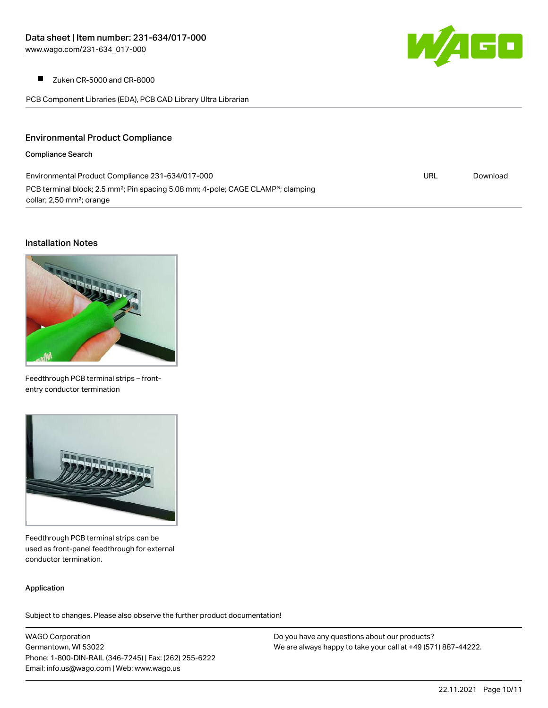

Zuken CR-5000 and CR-8000  $\blacksquare$ 

PCB Component Libraries (EDA), PCB CAD Library Ultra Librarian

## Environmental Product Compliance

#### Compliance Search

| Environmental Product Compliance 231-634/017-000                                                          | URL | Download |
|-----------------------------------------------------------------------------------------------------------|-----|----------|
| PCB terminal block; 2.5 mm <sup>2</sup> ; Pin spacing 5.08 mm; 4-pole; CAGE CLAMP <sup>®</sup> ; clamping |     |          |
| collar; 2,50 mm <sup>2</sup> ; orange                                                                     |     |          |

#### Installation Notes



Feedthrough PCB terminal strips – frontentry conductor termination



Feedthrough PCB terminal strips can be used as front-panel feedthrough for external conductor termination.

#### Application

Subject to changes. Please also observe the further product documentation!

WAGO Corporation Germantown, WI 53022 Phone: 1-800-DIN-RAIL (346-7245) | Fax: (262) 255-6222 Email: info.us@wago.com | Web: www.wago.us